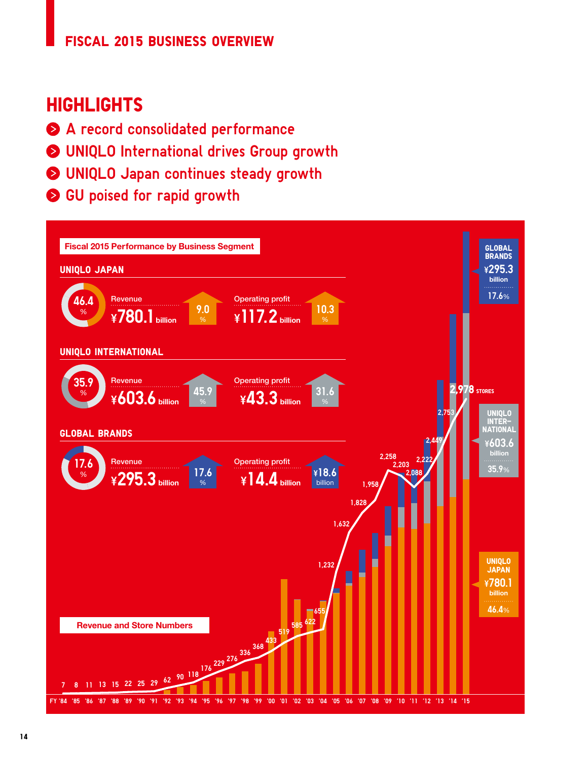## **FISCAL 2015 BUSINESS OVERVIEW**

# **HIGHLIGHTS**

- A record consolidated performance
- UNIQLO International drives Group growth
- UNIQLO Japan continues steady growth
- GU poised for rapid growth